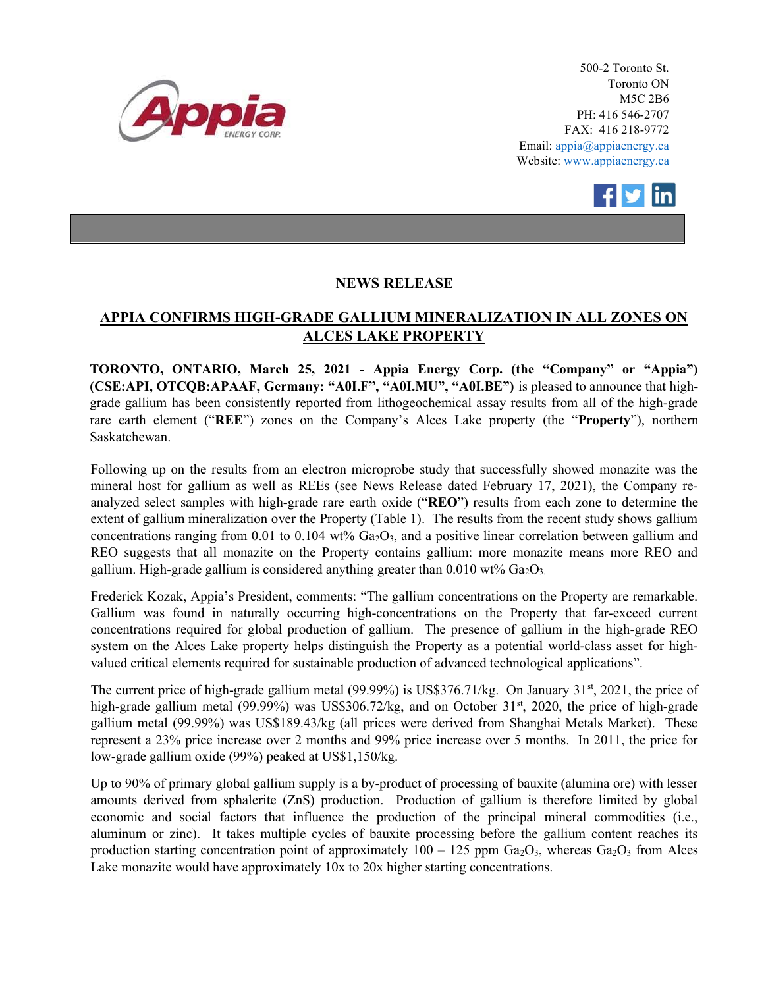

500-2 Toronto St. Toronto ON M5C 2B6 PH: 416 546-2707 FAX: 416 218-9772 Email: appia@appiaenergy.ca Website: www.appiaenergy.ca



## NEWS RELEASE

## APPIA CONFIRMS HIGH-GRADE GALLIUM MINERALIZATION IN ALL ZONES ON ALCES LAKE PROPERTY

TORONTO, ONTARIO, March 25, 2021 - Appia Energy Corp. (the "Company" or "Appia") (CSE:API, OTCQB:APAAF, Germany: "A0I.F", "A0I.MU", "A0I.BE") is pleased to announce that highgrade gallium has been consistently reported from lithogeochemical assay results from all of the high-grade rare earth element ("REE") zones on the Company's Alces Lake property (the "Property"), northern Saskatchewan.

Following up on the results from an electron microprobe study that successfully showed monazite was the mineral host for gallium as well as REEs (see News Release dated February 17, 2021), the Company reanalyzed select samples with high-grade rare earth oxide ("REO") results from each zone to determine the extent of gallium mineralization over the Property (Table 1). The results from the recent study shows gallium concentrations ranging from 0.01 to 0.104 wt%  $Ga<sub>2</sub>O<sub>3</sub>$ , and a positive linear correlation between gallium and REO suggests that all monazite on the Property contains gallium: more monazite means more REO and gallium. High-grade gallium is considered anything greater than  $0.010 \text{ wt\% Ga}_2\text{O}_3$ .

Frederick Kozak, Appia's President, comments: "The gallium concentrations on the Property are remarkable. Gallium was found in naturally occurring high-concentrations on the Property that far-exceed current concentrations required for global production of gallium. The presence of gallium in the high-grade REO system on the Alces Lake property helps distinguish the Property as a potential world-class asset for highvalued critical elements required for sustainable production of advanced technological applications".

The current price of high-grade gallium metal (99.99%) is US\$376.71/kg. On January 31<sup>st</sup>, 2021, the price of high-grade gallium metal (99.99%) was US\$306.72/kg, and on October 31<sup>st</sup>, 2020, the price of high-grade gallium metal (99.99%) was US\$189.43/kg (all prices were derived from Shanghai Metals Market). These represent a 23% price increase over 2 months and 99% price increase over 5 months. In 2011, the price for low-grade gallium oxide (99%) peaked at US\$1,150/kg.

Up to 90% of primary global gallium supply is a by-product of processing of bauxite (alumina ore) with lesser amounts derived from sphalerite (ZnS) production. Production of gallium is therefore limited by global economic and social factors that influence the production of the principal mineral commodities (i.e., aluminum or zinc). It takes multiple cycles of bauxite processing before the gallium content reaches its production starting concentration point of approximately  $100 - 125$  ppm  $Ga_2O_3$ , whereas  $Ga_2O_3$  from Alces Lake monazite would have approximately 10x to 20x higher starting concentrations.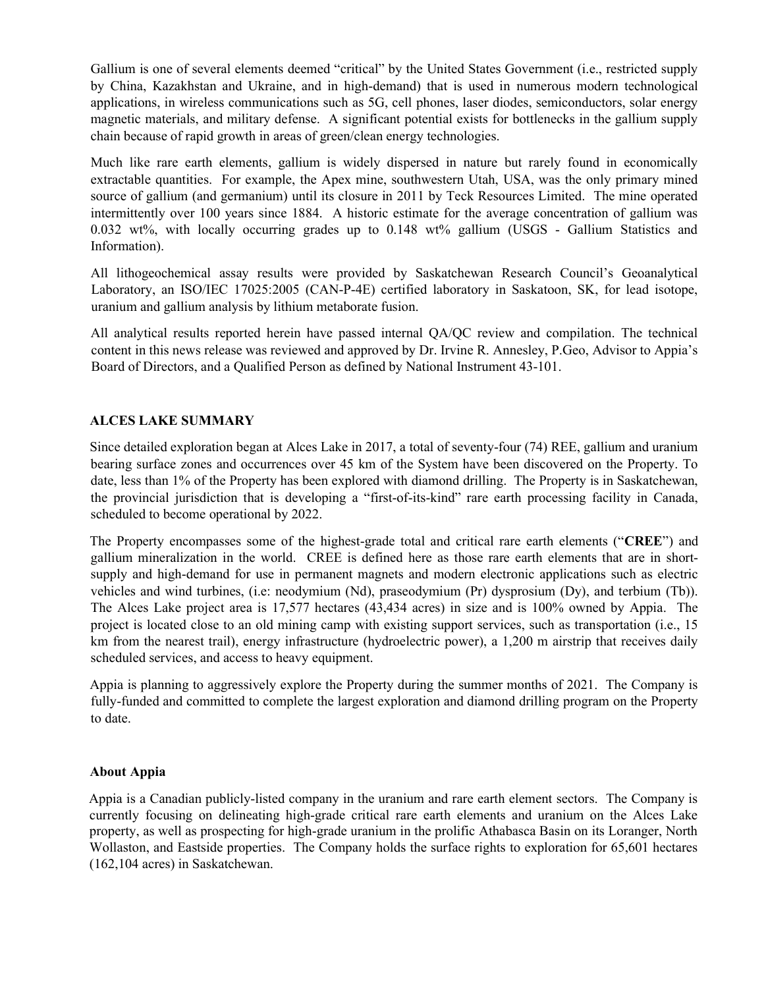Gallium is one of several elements deemed "critical" by the United States Government (i.e., restricted supply by China, Kazakhstan and Ukraine, and in high-demand) that is used in numerous modern technological applications, in wireless communications such as 5G, cell phones, laser diodes, semiconductors, solar energy magnetic materials, and military defense. A significant potential exists for bottlenecks in the gallium supply chain because of rapid growth in areas of green/clean energy technologies.

Much like rare earth elements, gallium is widely dispersed in nature but rarely found in economically extractable quantities. For example, the Apex mine, southwestern Utah, USA, was the only primary mined source of gallium (and germanium) until its closure in 2011 by Teck Resources Limited. The mine operated intermittently over 100 years since 1884. A historic estimate for the average concentration of gallium was 0.032 wt%, with locally occurring grades up to 0.148 wt% gallium (USGS - Gallium Statistics and Information).

All lithogeochemical assay results were provided by Saskatchewan Research Council's Geoanalytical Laboratory, an ISO/IEC 17025:2005 (CAN-P-4E) certified laboratory in Saskatoon, SK, for lead isotope, uranium and gallium analysis by lithium metaborate fusion.

All analytical results reported herein have passed internal QA/QC review and compilation. The technical content in this news release was reviewed and approved by Dr. Irvine R. Annesley, P.Geo, Advisor to Appia's Board of Directors, and a Qualified Person as defined by National Instrument 43-101.

## ALCES LAKE SUMMARY

Since detailed exploration began at Alces Lake in 2017, a total of seventy-four (74) REE, gallium and uranium bearing surface zones and occurrences over 45 km of the System have been discovered on the Property. To date, less than 1% of the Property has been explored with diamond drilling. The Property is in Saskatchewan, the provincial jurisdiction that is developing a "first-of-its-kind" rare earth processing facility in Canada, scheduled to become operational by 2022.

The Property encompasses some of the highest-grade total and critical rare earth elements ("CREE") and gallium mineralization in the world. CREE is defined here as those rare earth elements that are in shortsupply and high-demand for use in permanent magnets and modern electronic applications such as electric vehicles and wind turbines, (i.e: neodymium (Nd), praseodymium (Pr) dysprosium (Dy), and terbium (Tb)). The Alces Lake project area is 17,577 hectares (43,434 acres) in size and is 100% owned by Appia. The project is located close to an old mining camp with existing support services, such as transportation (i.e., 15 km from the nearest trail), energy infrastructure (hydroelectric power), a 1,200 m airstrip that receives daily scheduled services, and access to heavy equipment.

Appia is planning to aggressively explore the Property during the summer months of 2021. The Company is fully-funded and committed to complete the largest exploration and diamond drilling program on the Property to date.

## About Appia

Appia is a Canadian publicly-listed company in the uranium and rare earth element sectors. The Company is currently focusing on delineating high-grade critical rare earth elements and uranium on the Alces Lake property, as well as prospecting for high-grade uranium in the prolific Athabasca Basin on its Loranger, North Wollaston, and Eastside properties. The Company holds the surface rights to exploration for 65,601 hectares (162,104 acres) in Saskatchewan.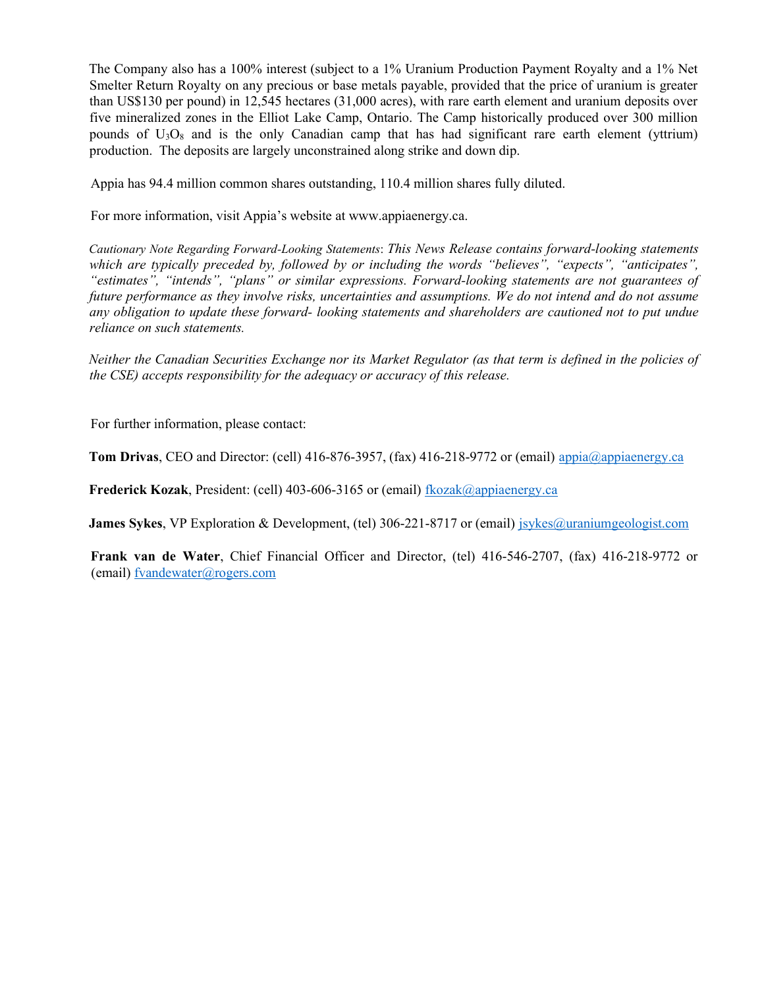The Company also has a 100% interest (subject to a 1% Uranium Production Payment Royalty and a 1% Net Smelter Return Royalty on any precious or base metals payable, provided that the price of uranium is greater than US\$130 per pound) in 12,545 hectares (31,000 acres), with rare earth element and uranium deposits over five mineralized zones in the Elliot Lake Camp, Ontario. The Camp historically produced over 300 million pounds of  $U_3O_8$  and is the only Canadian camp that has had significant rare earth element (yttrium) production. The deposits are largely unconstrained along strike and down dip.

Appia has 94.4 million common shares outstanding, 110.4 million shares fully diluted.

For more information, visit Appia's website at www.appiaenergy.ca.

Cautionary Note Regarding Forward-Looking Statements: This News Release contains forward-looking statements which are typically preceded by, followed by or including the words "believes", "expects", "anticipates", "estimates", "intends", "plans" or similar expressions. Forward-looking statements are not guarantees of future performance as they involve risks, uncertainties and assumptions. We do not intend and do not assume any obligation to update these forward- looking statements and shareholders are cautioned not to put undue reliance on such statements.

Neither the Canadian Securities Exchange nor its Market Regulator (as that term is defined in the policies of the CSE) accepts responsibility for the adequacy or accuracy of this release.

For further information, please contact:

Tom Drivas, CEO and Director: (cell) 416-876-3957, (fax) 416-218-9772 or (email) appia@appiaenergy.ca

Frederick Kozak, President: (cell) 403-606-3165 or (email) fkozak@appiaenergy.ca

**James Sykes,** VP Exploration & Development, (tel) 306-221-8717 or (email) jsykes@uraniumgeologist.com

Frank van de Water, Chief Financial Officer and Director, (tel) 416-546-2707, (fax) 416-218-9772 or (email) fvandewater@rogers.com